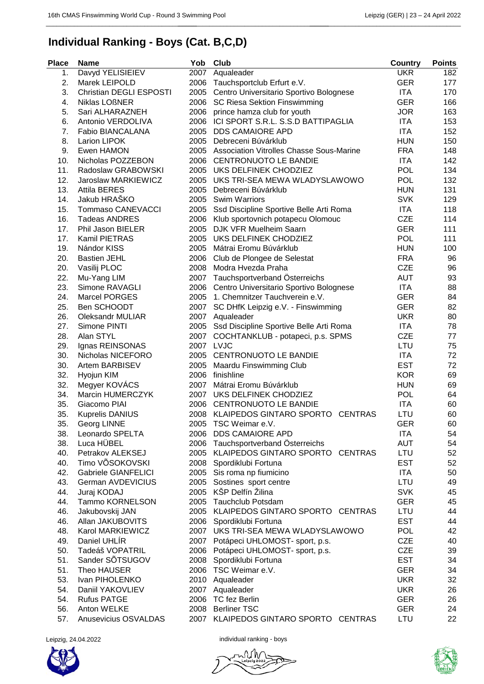\_\_\_\_\_\_\_\_\_\_\_\_\_\_\_\_\_\_\_\_\_\_\_\_\_\_\_\_\_\_\_\_\_\_\_\_\_\_\_\_\_\_\_

## **Individual Ranking - Boys (Cat. B,C,D)**

\_\_\_\_\_\_\_\_\_\_\_\_\_\_\_\_\_\_\_\_\_\_\_\_\_\_\_\_\_\_\_\_\_\_\_\_\_\_\_\_\_\_\_ \_\_\_\_\_\_\_\_\_\_\_\_\_\_\_\_\_\_\_\_\_\_\_\_\_\_\_\_\_\_\_\_\_\_\_\_\_\_\_\_\_\_\_

| <b>Place</b> | <b>Name</b>                | Yob  | Club                                     | <b>Country</b> | <b>Points</b> |
|--------------|----------------------------|------|------------------------------------------|----------------|---------------|
| 1.           | Davyd YELISIEIEV           | 2007 | Aqualeader                               | <b>UKR</b>     | 182           |
| 2.           | Marek LEIPOLD              | 2006 | Tauchsportclub Erfurt e.V.               | <b>GER</b>     | 177           |
| 3.           | Christian DEGLI ESPOSTI    | 2005 | Centro Universitario Sportivo Bolognese  | ITA            | 170           |
| 4.           | <b>Niklas LOßNER</b>       | 2006 | SC Riesa Sektion Finswimming             | <b>GER</b>     | 166           |
| 5.           | Sari ALHARAZNEH            | 2006 | prince hamza club for youth              | <b>JOR</b>     | 163           |
| 6.           | Antonio VERDOLIVA          | 2006 | ICI SPORT S.R.L. S.S.D BATTIPAGLIA       | <b>ITA</b>     | 153           |
| 7.           | Fabio BIANCALANA           | 2005 | <b>DDS CAMAIORE APD</b>                  | ITA            | 152           |
| 8.           | Larion LIPOK               | 2005 | Debreceni Búvárklub                      | <b>HUN</b>     | 150           |
| 9.           | Ewen HAMON                 | 2005 | Association Vitrolles Chasse Sous-Marine | <b>FRA</b>     | 148           |
| 10.          | Nicholas POZZEBON          | 2006 | <b>CENTRONUOTO LE BANDIE</b>             | ITA            | 142           |
| 11.          | Radoslaw GRABOWSKI         |      | 2005 UKS DELFINEK CHODZIEZ               | <b>POL</b>     | 134           |
| 12.          | Jaroslaw MARKIEWICZ        | 2005 | UKS TRI-SEA MEWA WLADYSLAWOWO            | <b>POL</b>     | 132           |
| 13.          | <b>Attila BERES</b>        | 2005 | Debreceni Búvárklub                      | <b>HUN</b>     | 131           |
| 14.          | Jakub HRAŠKO               | 2005 | <b>Swim Warriors</b>                     | <b>SVK</b>     | 129           |
| 15.          | <b>Tommaso CANEVACCI</b>   | 2005 | Ssd Discipline Sportive Belle Arti Roma  | ITA            | 118           |
| 16.          | <b>Tadeas ANDRES</b>       | 2006 | Klub sportovnich potapecu Olomouc        | <b>CZE</b>     | 114           |
| 17.          | Phil Jason BIELER          | 2005 | DJK VFR Muelheim Saarn                   | <b>GER</b>     | 111           |
| 17.          | Kamil PIETRAS              | 2005 | UKS DELFINEK CHODZIEZ                    | <b>POL</b>     | 111           |
| 19.          | Nándor KISS                | 2005 | Mátrai Eromu Búvárklub                   | <b>HUN</b>     | 100           |
| 20.          | <b>Bastien JEHL</b>        | 2006 | Club de Plongee de Selestat              | <b>FRA</b>     | 96            |
| 20.          | Vasilij PLOC               | 2008 | Modra Hvezda Praha                       | <b>CZE</b>     | 96            |
| 22.          | Mu-Yang LIM                | 2007 | Tauchsportverband Österreichs            | <b>AUT</b>     | 93            |
| 23.          | Simone RAVAGLI             | 2006 | Centro Universitario Sportivo Bolognese  | <b>ITA</b>     | 88            |
| 24.          | <b>Marcel PORGES</b>       | 2005 | 1. Chemnitzer Tauchverein e.V.           | <b>GER</b>     | 84            |
| 25.          | Ben SCHOODT                | 2007 | SC DHfK Leipzig e.V. - Finswimming       | <b>GER</b>     | 82            |
| 26.          | <b>Oleksandr MULIAR</b>    | 2007 | Aqualeader                               | <b>UKR</b>     | 80            |
| 27.          | Simone PINTI               | 2005 | Ssd Discipline Sportive Belle Arti Roma  | ITA            | 78            |
| 28.          | Alan STYL                  | 2007 | COCHTANKLUB - potapeci, p.s. SPMS        | <b>CZE</b>     | 77            |
| 29.          | Ignas REINSONAS            |      | 2007 LVJC                                | LTU            | 75            |
| 30.          | Nicholas NICEFORO          | 2005 | <b>CENTRONUOTO LE BANDIE</b>             | <b>ITA</b>     | 72            |
| 30.          | Artem BARBISEV             | 2005 | Maardu Finswimming Club                  | <b>EST</b>     | 72            |
| 32.          | Hyojun KIM                 | 2006 | finishline                               | <b>KOR</b>     | 69            |
| 32.          | Megyer KOVÁCS              | 2007 | Mátrai Eromu Búvárklub                   | <b>HUN</b>     | 69            |
| 34.          | Marcin HUMERCZYK           | 2007 | UKS DELFINEK CHODZIEZ                    | <b>POL</b>     | 64            |
| 35.          | Giacomo PIAI               | 2006 | <b>CENTRONUOTO LE BANDIE</b>             | <b>ITA</b>     | 60            |
| 35.          | <b>Kuprelis DANIUS</b>     |      | 2008 KLAIPEDOS GINTARO SPORTO CENTRAS    | LTU            | 60            |
| 35.          | Georg LINNE                | 2005 | TSC Weimar e.V.                          | GER            | 60            |
| 38.          | Leonardo SPELTA            | 2006 | <b>DDS CAMAIORE APD</b>                  | <b>ITA</b>     | 54            |
| 38.          | Luca HÜBEL                 |      | 2006 Tauchsportverband Österreichs       | <b>AUT</b>     | 54            |
| 40.          | Petrakov ALEKSEJ           |      | 2005 KLAIPEDOS GINTARO SPORTO CENTRAS    | LTU            | 52            |
| 40.          | Timo VÕSOKOVSKI            |      | 2008 Spordiklubi Fortuna                 | <b>EST</b>     | 52            |
| 42.          | <b>Gabriele GIANFELICI</b> |      | 2005 Sis roma np fiumicino               | <b>ITA</b>     | 50            |
| 43.          | German AVDEVICIUS          |      | 2005 Sostines sport centre               | LTU            | 49            |
| 44.          | Juraj KODAJ                |      | 2005 KŠP Delfín Žilina                   | <b>SVK</b>     | 45            |
| 44.          | Tammo KORNELSON            | 2005 | <b>Tauchclub Potsdam</b>                 | <b>GER</b>     | 45            |
| 46.          | Jakubovskij JAN            |      | 2005 KLAIPEDOS GINTARO SPORTO CENTRAS    | LTU            | 44            |
| 46.          | Allan JAKUBOVITS           |      | 2006 Spordiklubi Fortuna                 | <b>EST</b>     | 44            |
| 48.          | Karol MARKIEWICZ           |      | 2007 UKS TRI-SEA MEWA WLADYSLAWOWO       | <b>POL</b>     | 42            |
| 49.          | Daniel UHLIR               |      | 2007 Potápeci UHLOMOST- sport, p.s.      | <b>CZE</b>     | 40            |
| 50.          | Tadeáš VOPATRIL            |      | 2006 Potápeci UHLOMOST- sport, p.s.      | <b>CZE</b>     | 39            |
| 51.          | Sander SOTSUGOV            | 2008 | Spordiklubi Fortuna                      | <b>EST</b>     | 34            |
| 51.          | Theo HAUSER                |      | 2006 TSC Weimar e.V.                     | <b>GER</b>     | 34            |
| 53.          | Ivan PIHOLENKO             |      | 2010 Aqualeader                          | <b>UKR</b>     | 32            |
| 54.          | Daniil YAKOVLIEV           |      | 2007 Aqualeader                          | <b>UKR</b>     | 26            |
| 54.          | <b>Rufus PATGE</b>         |      | 2006 TC fez Berlin                       | <b>GER</b>     | 26            |
| 56.          | Anton WELKE                |      | 2008 Berliner TSC                        | <b>GER</b>     | 24            |
| 57.          | Anusevicius OSVALDAS       |      | 2007 KLAIPEDOS GINTARO SPORTO CENTRAS    | LTU            | 22            |
|              |                            |      |                                          |                |               |



Leipzig, 24.04.2022 **individual ranking - boys**